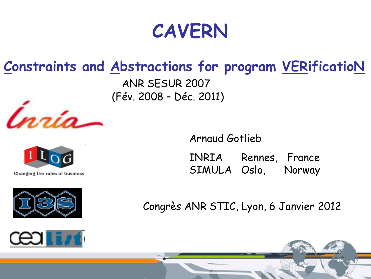## **CAVERN**

### **Constraints and Abstractions for program VERificatioN**

ANR SESUR 2007 (Fév. 2008 – Déc. 2011)



INRIA Rennes, France SIMULA Oslo, Norway

Congrès ANR STIC, Lyon, 6 Janvier 2012





Changing the rules of business



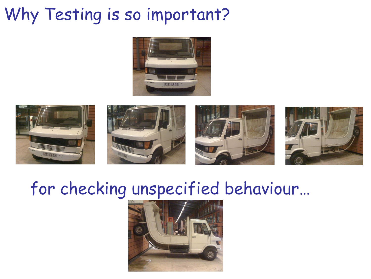## Why Testing is so important?











### for checking unspecified behaviour…

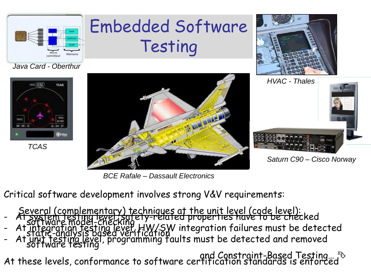

# Embedded Software Testing





 *TCAS*



*BCE Rafale – Dassault Electronics*



*Saturn C90 – Cisco Norway*

- Critical software development involves strong V&V requirements:
- Several (complementary) techniques at the unit level (code level): - At system testing level, safety-related properties have to be checked
- software model-checking - At integration testing level, HW/SW integration failures must be detected
- static-analysis based verification software testing - At unit testing level, programming faults must be detected and removed

 and Constraint-Based Testing… At these levels, conformance to software certification standards is enforced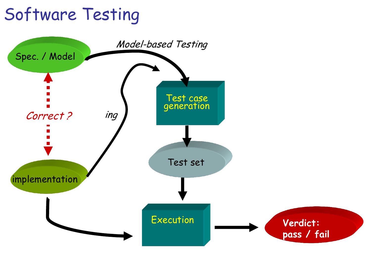## Software Testing

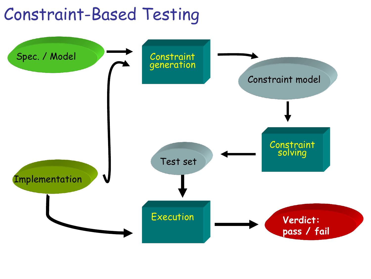### Constraint-Based Testing

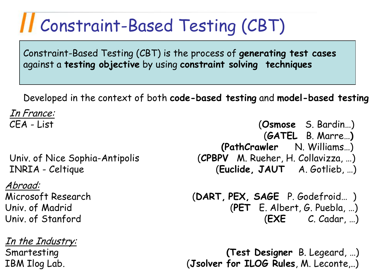# Constraint-Based Testing (CBT)

Constraint-Based Testing (CBT) is the process of **generating test cases** against a **testing objective** by using **constraint solving techniques** 

Developed in the context of both **code-based testing** and **model-based testing**

In France:

Abroad:

In the Industry:

CEA - List (**Osmose** S. Bardin…) (**GATEL** B. Marre…**) (PathCrawler** N. Williams…) Univ. of Nice Sophia-Antipolis (**CPBPV** M. Rueher, H. Collavizza, …) INRIA - Celtique(**Euclide, JAUT** A. Gotlieb, …)

Microsoft Research (**DART, PEX, SAGE** P. Godefroid… ) Univ. of Madrid (**PET** E. Albert, G. Puebla, …) Univ. of Stanford (**EXE** C. Cadar, …)

Smartesting **(Test Designer** B. Legeard, …) IBM Ilog Lab. (**Jsolver for ILOG Rules**, M. Leconte,..)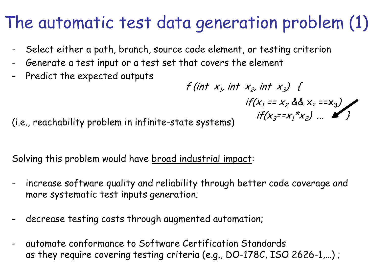## The automatic test data generation problem (1)

- Select either a path, branch, source code element, or testing criterion
- Generate a test input or a test set that covers the element
- Predict the expected outputs

 $f(int x_1, int x_2, int x_3)$  $if(x_1 == x_2 \& x_2 == x_3)$ ite state sustains)  $if(x_3 = x_1 * x_2) ... Y_n$ 

(i.e., reachability problem in infinite-state systems)

Solving this problem would have broad industrial impact:

- increase software quality and reliability through better code coverage and more systematic test inputs generation;
- decrease testing costs through augmented automation;
- automate conformance to Software Certification Standards as they require covering testing criteria (e.g., DO-178C, ISO 2626-1,…) ;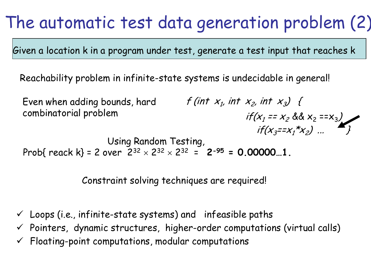## The automatic test data generation problem (2)

Given a location k in a program under test, generate a test input that reaches k

Reachability problem in infinite-state systems is undecidable in general!

Even when adding bounds, hard combinatorial problem Using Random Testing, Prob{ reack k} = 2 over  $2^{32} \times 2^{32} \times 2^{32} = 2^{35} = 0.00000...1$ .  $f(int x_1, int x_2, int x_3)$  $if(x_1 == x_2 \& x_2 == x_3)$  $if(x_{3}=x_{1}^{*}x_{2})...$ 

Constraint solving techniques are required!

- $\checkmark$  Loops (i.e., infinite-state systems) and infeasible paths
- $\checkmark$  Pointers, dynamic structures, higher-order computations (virtual calls)
- $\checkmark$  Floating-point computations, modular computations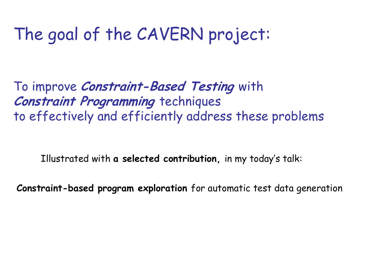## The goal of the CAVERN project:

To improve **Constraint-Based Testing** with **Constraint Programming** techniques to effectively and efficiently address these problems

Illustrated with **a selected contribution,** in my today's talk:

**Constraint-based program exploration** for automatic test data generation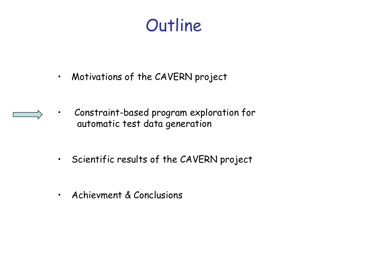### **Outline**

- Motivations of the CAVERN project
- Constraint-based program exploration for automatic test data generation
- Scientific results of the CAVERN project
- Achievment & Conclusions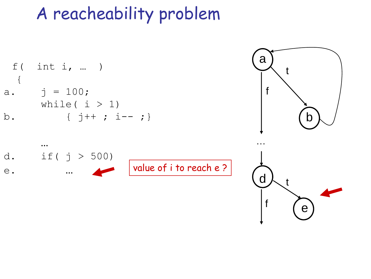## A reacheability problem

f( int i, ... )  
\n{   
\n
$$
i = 100;
$$
  
\nwhile ( i > 1)  
\nb. { j++ ; i-- ;}



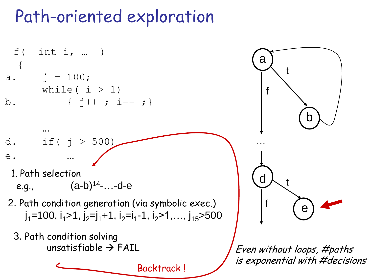### Path-oriented exploration

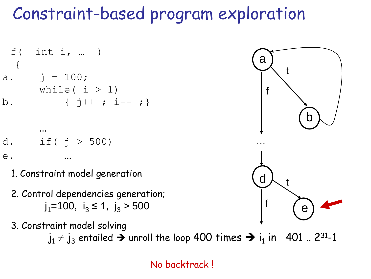## Constraint-based program exploration

 f( int i, … ) { a. j = 100; while( i > 1) b. { j++ ; i-- ;}

d. if 
$$
(j > 500)
$$

…

e. …

- 1. Constraint model generation
- $\overline{\phantom{a}}$ 2. Control dependencies generation;  $j_1$ =100,  $i_3$  ≤ 1,  $j_3$  > 500
- 3. Constraint model solving  $j_1 \neq j_3$  entailed  $\rightarrow$  unroll the loop 400 times  $\rightarrow$  i<sub>1</sub> in  $\,$  401  $\,$  . 2 $^{31}$ -1



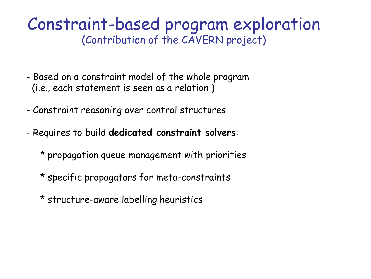### Constraint-based program exploration (Contribution of the CAVERN project)

- Based on a constraint model of the whole program (i.e., each statement is seen as a relation )
- Constraint reasoning over control structures
- Requires to build **dedicated constraint solvers**:
	- \* propagation queue management with priorities
	- \* specific propagators for meta-constraints
	- \* structure-aware labelling heuristics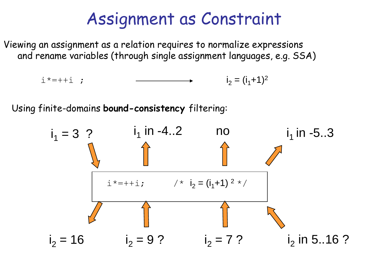### Assignment as Constraint

Viewing an assignment as a relation requires to normalize expressions and rename variables (through single assignment languages, e.g. SSA)

$$
i^* = +i ; \qquad \qquad \longrightarrow \qquad i_2 = (i_1 + 1)^2
$$

Using finite-domains **bound-consistency** filtering:

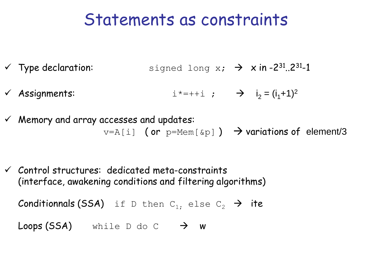### Statements as constraints

- $\checkmark$  Type declaration: signed long x;  $\hat{\to}$  x in -2<sup>31</sup>..2<sup>31</sup>-1
- $\checkmark$  Assignments:  $i^* = +i$ ;  $\Rightarrow i_2 = (i_1 + 1)^2$
- $\checkmark$  Memory and array accesses and updates:  $v=A[i]$  (or  $p=Mem[\&p]$ )  $\rightarrow$  variations of element/3
- $\checkmark$  Control structures: dedicated meta-constraints (interface, awakening conditions and filtering algorithms)

 ${\sf Condition}$ nals (SSA) if D then  ${\tt C}_{1},$  else  ${\tt C}_{2}$   $\rightarrow$  ite

**Loops (SSA)** while D do C  $\rightarrow$  W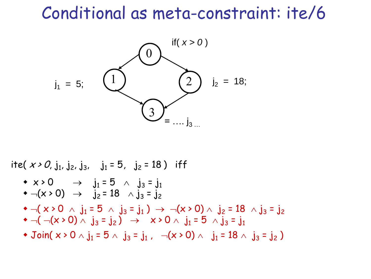### Conditional as meta-constraint: ite/6



ite(  $x > 0$ , j<sub>1</sub>, j<sub>2</sub>, j<sub>3</sub>, j<sub>1</sub> = 5, j<sub>2</sub> = 18) iff  $\bullet \neg (\times \circ 0 \ \land \ j_1 = 5 \ \land \ j_3 = j_1) \rightarrow \neg (x \circ 0) \land \ j_2 = 18 \ \land j_3 = j_2$  $\bullet \neg ((\neg (x \cdot 0) \land j_3 = j_2) \rightarrow x \cdot 0 \land j_1 = 5 \land j_3 = j_1$ • Join(  $x > 0 \wedge j_1 = 5 \wedge j_3 = j_1$  ,  $\neg(x > 0) \wedge j_1 = 18 \wedge j_3 = j_2$  )  $\star \times \bullet 0 \rightarrow j_1 = 5 \land j_3 = j_1$  $\bullet \neg (x > 0) \rightarrow j_2 = 18 \land j_3 = j_2$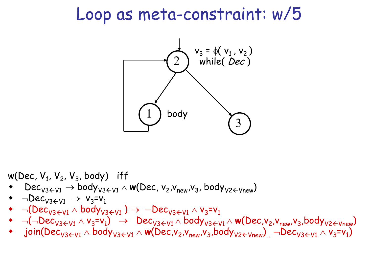### Loop as meta-constraint: w/5



w(Dec, V<sub>1</sub>, V<sub>2</sub>, V<sub>3</sub>, body)  $iff$ 

- Dec<sub>V3</sub><sub>+V1</sub>  $\rightarrow$  body<sub>V3</sub><sub>+V1</sub>  $\land$  **w**(Dec, v<sub>2</sub>, v<sub>new</sub>, v<sub>3</sub>, body<sub>V2</sub><sub>+Vnew</sub>)
- $\bullet$  -Dec<sub>V3</sub><sub>V1</sub>  $\rightarrow$  V<sub>3</sub>=V<sub>1</sub>
- $\neg(Dec_{V3\leftarrow V1} \wedge body_{V3\leftarrow V1}) \rightarrow \neg Dec_{V3\leftarrow V1} \wedge v_{3}=v_{1}$
- $\bullet$   $\neg(\neg \textsf{Dec}_{\textsf{V3}\in \textsf{V1}} \land \textsf{v}_3 = \textsf{v}_1) \rightarrow \textsf{Dec}_{\textsf{V3}\in \textsf{V1}} \land \textsf{body}_{\textsf{V3}\in \textsf{V1}} \land \textsf{w}(\textsf{Dec},\textsf{v}_2,\textsf{v}_\textsf{new},\textsf{v}_3,\textsf{body}_{\textsf{V2}\in \textsf{Vnew}})$
- join(Dec<sub>V3EV1</sub> ^ body<sub>V3EV1</sub> ^ w(Dec,v<sub>2</sub>,v<sub>new</sub>,v<sub>3</sub>,body<sub>V2EVnew</sub>)<sub>,</sub> --Dec<sub>V3EV1</sub> ^ v<sub>3</sub>=v<sub>1</sub>)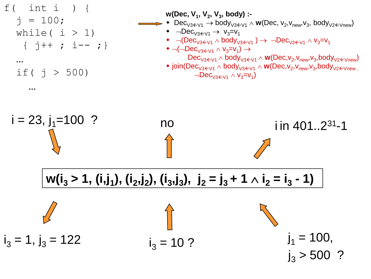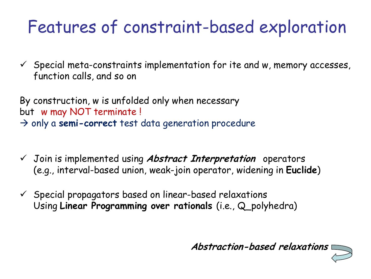## Features of constraint-based exploration

 $\checkmark$  Special meta-constraints implementation for ite and w, memory accesses, function calls, and so on

By construction, w is unfolded only when necessary but w may NOT terminate !  $\rightarrow$  only a semi-correct test data generation procedure

- Join is implemented using **Abstract Interpretation** operators (e.g., interval-based union, weak-join operator, widening in **Euclide**)
- $\checkmark$  Special propagators based on linear-based relaxations Using **Linear Programming over rationals** (i.e., Q\_polyhedra)

**Abstraction-based relaxations**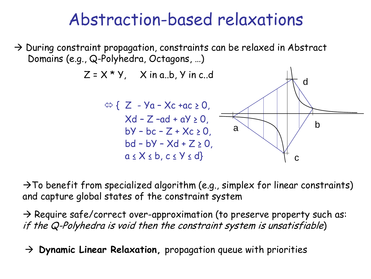### Abstraction-based relaxations

 $\rightarrow$  During constraint propagation, constraints can be relaxed in Abstract Domains (e.g., Q-Polyhedra, Octagons, …)



 $\rightarrow$  To benefit from specialized algorithm (e.g., simplex for linear constraints) and capture global states of the constraint system

 $\rightarrow$  Require safe/correct over-approximation (to preserve property such as: if the Q-Polyhedra is void then the constraint system is unsatisfiable)

**Dynamic Linear Relaxation,** propagation queue with priorities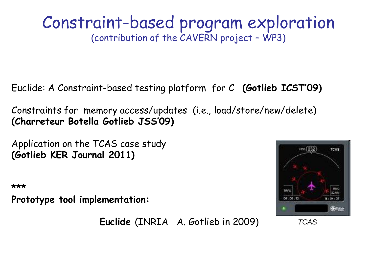#### Constraint-based program exploration (contribution of the CAVERN project – WP3)

Euclide: A Constraint-based testing platform for C **(Gotlieb ICST'09)**

Constraints for memory access/updates (i.e., load/store/new/delete) **(Charreteur Botella Gotlieb JSS'09)**

Application on the TCAS case study **(Gotlieb KER Journal 2011)**

**\*\*\*** 

**Prototype tool implementation:** 



**Euclide** (INRIA A. Gotlieb in 2009)

 *TCAS*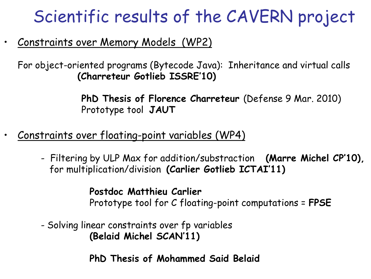## Scientific results of the CAVERN project

#### • Constraints over Memory Models (WP2)

For object-oriented programs (Bytecode Java): Inheritance and virtual calls  **(Charreteur Gotlieb ISSRE'10)**

> **PhD Thesis of Florence Charreteur** (Defense 9 Mar. 2010) Prototype tool **JAUT**

- Constraints over floating-point variables (WP4)
	- Filtering by ULP Max for addition/substraction **(Marre Michel CP'10),** for multiplication/division **(Carlier Gotlieb ICTAI'11)**

 **Postdoc Matthieu Carlier** Prototype tool for C floating-point computations = **FPSE**

- Solving linear constraints over fp variables  **(Belaid Michel SCAN'11)** 

 **PhD Thesis of Mohammed Said Belaid**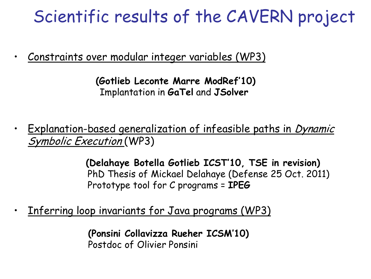## Scientific results of the CAVERN project

• Constraints over modular integer variables (WP3)

 **(Gotlieb Leconte Marre ModRef'10)** Implantation in **GaTel** and **JSolver**

• Explanation-based generalization of infeasible paths in *Dynamic* Symbolic Execution (WP3)

> **(Delahaye Botella Gotlieb ICST'10, TSE in revision)** PhD Thesis of Mickael Delahaye (Defense 25 Oct. 2011) Prototype tool for C programs = **IPEG**

Inferring loop invariants for Java programs (WP3)

**(Ponsini Collavizza Rueher ICSM'10)** Postdoc of Olivier Ponsini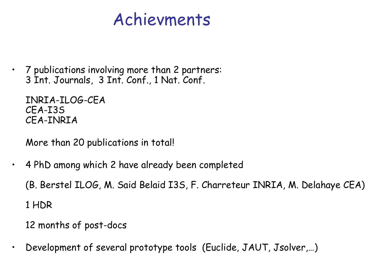### Achievments

• 7 publications involving more than 2 partners: 3 Int. Journals, 3 Int. Conf., 1 Nat. Conf.

INRIA-ILOG-CEA CEA-I3S CEA-INRIA

More than 20 publications in total!

• 4 PhD among which 2 have already been completed

(B. Berstel ILOG, M. Said Belaid I3S, F. Charreteur INRIA, M. Delahaye CEA)

1 HDR

12 months of post-docs

• Development of several prototype tools (Euclide, JAUT, Jsolver,…)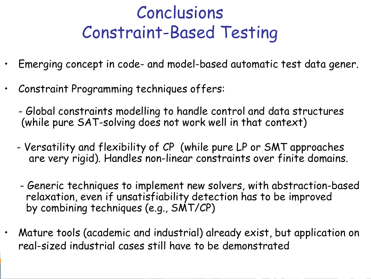## Conclusions Constraint-Based Testing

- Emerging concept in code- and model-based automatic test data gener.
- Constraint Programming techniques offers:
	- Global constraints modelling to handle control and data structures (while pure SAT-solving does not work well in that context)
	- Versatility and flexibility of CP (while pure LP or SMT approaches are very rigid). Handles non-linear constraints over finite domains.
	- Generic techniques to implement new solvers, with abstraction-based relaxation, even if unsatisfiability detection has to be improved by combining techniques (e.g., SMT/CP)
- Mature tools (academic and industrial) already exist, but application on real-sized industrial cases still have to be demonstrated